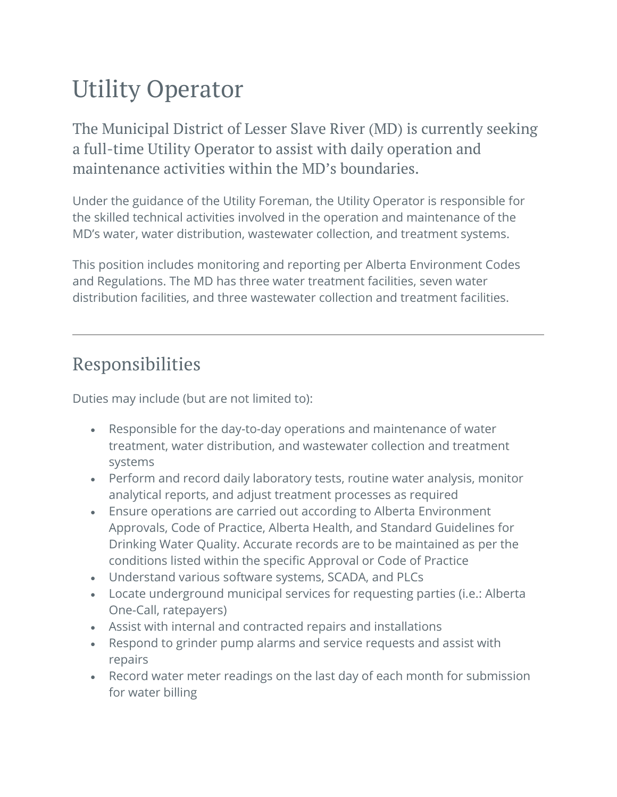# Utility Operator

The Municipal District of Lesser Slave River (MD) is currently seeking a full-time Utility Operator to assist with daily operation and maintenance activities within the MD's boundaries.

Under the guidance of the Utility Foreman, the Utility Operator is responsible for the skilled technical activities involved in the operation and maintenance of the MD's water, water distribution, wastewater collection, and treatment systems.

This position includes monitoring and reporting per Alberta Environment Codes and Regulations. The MD has three water treatment facilities, seven water distribution facilities, and three wastewater collection and treatment facilities.

#### Responsibilities

Duties may include (but are not limited to):

- Responsible for the day-to-day operations and maintenance of water treatment, water distribution, and wastewater collection and treatment systems
- Perform and record daily laboratory tests, routine water analysis, monitor analytical reports, and adjust treatment processes as required
- Ensure operations are carried out according to Alberta Environment Approvals, Code of Practice, Alberta Health, and Standard Guidelines for Drinking Water Quality. Accurate records are to be maintained as per the conditions listed within the specific Approval or Code of Practice
- Understand various software systems, SCADA, and PLCs
- Locate underground municipal services for requesting parties (i.e.: Alberta One-Call, ratepayers)
- Assist with internal and contracted repairs and installations
- Respond to grinder pump alarms and service requests and assist with repairs
- Record water meter readings on the last day of each month for submission for water billing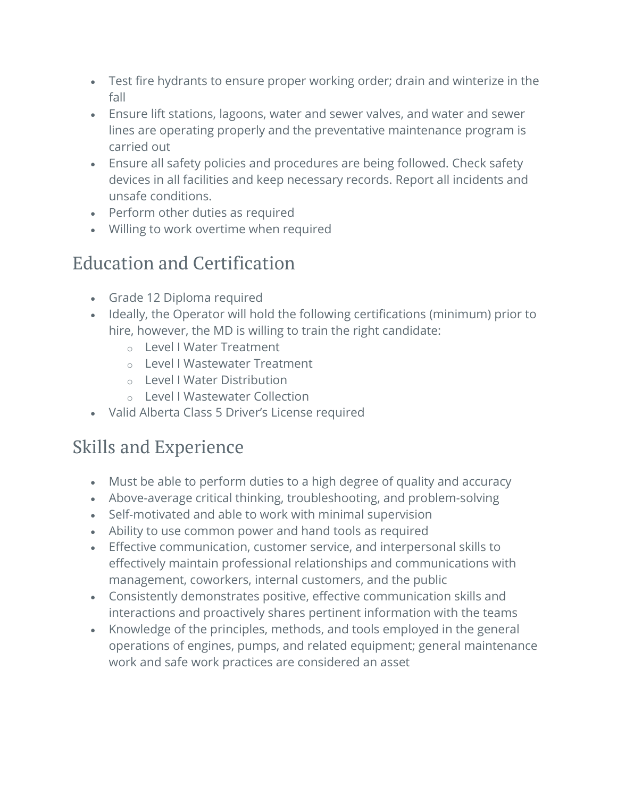- Test fire hydrants to ensure proper working order; drain and winterize in the fall
- Ensure lift stations, lagoons, water and sewer valves, and water and sewer lines are operating properly and the preventative maintenance program is carried out
- Ensure all safety policies and procedures are being followed. Check safety devices in all facilities and keep necessary records. Report all incidents and unsafe conditions.
- Perform other duties as required
- Willing to work overtime when required

## Education and Certification

- Grade 12 Diploma required
- Ideally, the Operator will hold the following certifications (minimum) prior to hire, however, the MD is willing to train the right candidate:
	- o Level I Water Treatment
	- o Level I Wastewater Treatment
	- o Level I Water Distribution
	- o Level I Wastewater Collection
- Valid Alberta Class 5 Driver's License required

## Skills and Experience

- Must be able to perform duties to a high degree of quality and accuracy
- Above-average critical thinking, troubleshooting, and problem-solving
- Self-motivated and able to work with minimal supervision
- Ability to use common power and hand tools as required
- Effective communication, customer service, and interpersonal skills to effectively maintain professional relationships and communications with management, coworkers, internal customers, and the public
- Consistently demonstrates positive, effective communication skills and interactions and proactively shares pertinent information with the teams
- Knowledge of the principles, methods, and tools employed in the general operations of engines, pumps, and related equipment; general maintenance work and safe work practices are considered an asset